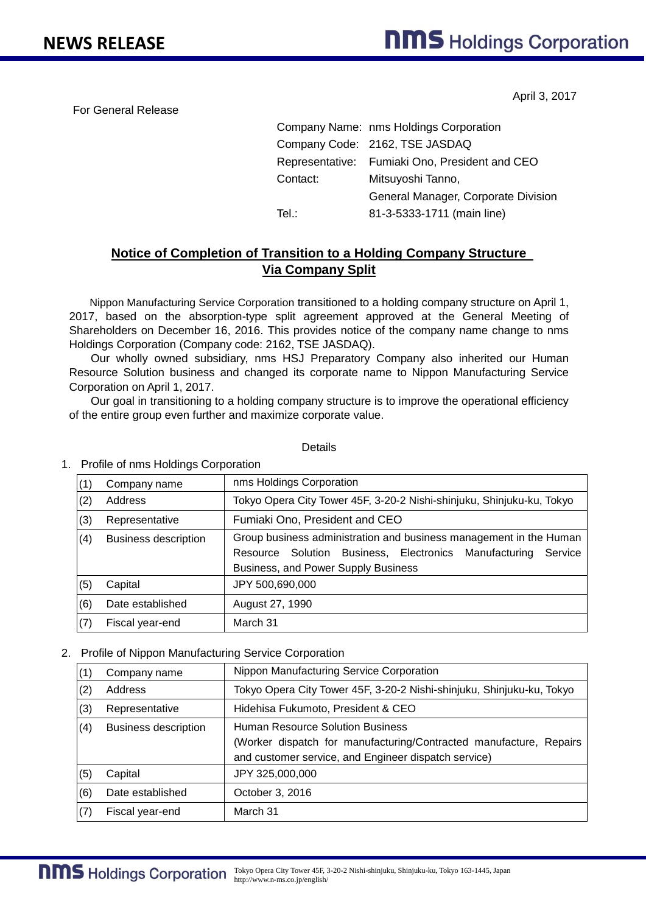For General Release

April 3, 2017

|          | Company Name: nms Holdings Corporation         |  |
|----------|------------------------------------------------|--|
|          | Company Code: 2162, TSE JASDAQ                 |  |
|          | Representative: Fumiaki Ono, President and CEO |  |
| Contact: | Mitsuyoshi Tanno,                              |  |
|          | General Manager, Corporate Division            |  |
| Tel :    | 81-3-5333-1711 (main line)                     |  |

## **Notice of Completion of Transition to a Holding Company Structure Via Company Split**

Nippon Manufacturing Service Corporation transitioned to a holding company structure on April 1, 2017, based on the absorption-type split agreement approved at the General Meeting of Shareholders on December 16, 2016. This provides notice of the company name change to nms Holdings Corporation (Company code: 2162, TSE JASDAQ).

Our wholly owned subsidiary, nms HSJ Preparatory Company also inherited our Human Resource Solution business and changed its corporate name to Nippon Manufacturing Service Corporation on April 1, 2017.

Our goal in transitioning to a holding company structure is to improve the operational efficiency of the entire group even further and maximize corporate value.

## **Details**

## 1. Profile of nms Holdings Corporation

| (1) | Company name                | nms Holdings Corporation                                              |  |  |
|-----|-----------------------------|-----------------------------------------------------------------------|--|--|
| (2) | Address                     | Tokyo Opera City Tower 45F, 3-20-2 Nishi-shinjuku, Shinjuku-ku, Tokyo |  |  |
| (3) | Representative              | Fumiaki Ono, President and CEO                                        |  |  |
| (4) | <b>Business description</b> | Group business administration and business management in the Human    |  |  |
|     |                             | Resource Solution Business, Electronics Manufacturing<br>Service      |  |  |
|     |                             | Business, and Power Supply Business                                   |  |  |
| (5) | Capital                     | JPY 500,690,000                                                       |  |  |
| (6) | Date established            | August 27, 1990                                                       |  |  |
| (7) | Fiscal year-end             | March 31                                                              |  |  |

## 2. Profile of Nippon Manufacturing Service Corporation

| Nippon Manufacturing Service Corporation<br>Company name<br>(1)<br>(2)<br>Address<br>(3)<br>Hidehisa Fukumoto, President & CEO<br>Representative<br>Human Resource Solution Business<br>(4)<br><b>Business description</b><br>and customer service, and Engineer dispatch service)<br>(5)<br>Capital<br>JPY 325,000,000 |     |                  |                                                                       |  |
|-------------------------------------------------------------------------------------------------------------------------------------------------------------------------------------------------------------------------------------------------------------------------------------------------------------------------|-----|------------------|-----------------------------------------------------------------------|--|
|                                                                                                                                                                                                                                                                                                                         |     |                  |                                                                       |  |
|                                                                                                                                                                                                                                                                                                                         |     |                  | Tokyo Opera City Tower 45F, 3-20-2 Nishi-shinjuku, Shinjuku-ku, Tokyo |  |
|                                                                                                                                                                                                                                                                                                                         |     |                  |                                                                       |  |
|                                                                                                                                                                                                                                                                                                                         |     |                  | (Worker dispatch for manufacturing/Contracted manufacture, Repairs    |  |
|                                                                                                                                                                                                                                                                                                                         |     |                  |                                                                       |  |
|                                                                                                                                                                                                                                                                                                                         | (6) | Date established | October 3, 2016                                                       |  |
| (7)<br>March 31<br>Fiscal year-end                                                                                                                                                                                                                                                                                      |     |                  |                                                                       |  |